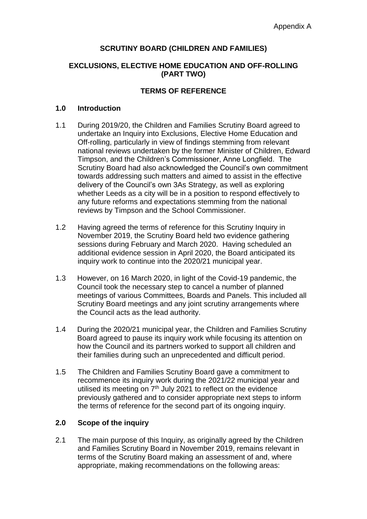### **SCRUTINY BOARD (CHILDREN AND FAMILIES)**

#### **EXCLUSIONS, ELECTIVE HOME EDUCATION AND OFF-ROLLING (PART TWO)**

#### **TERMS OF REFERENCE**

#### **1.0 Introduction**

- 1.1 During 2019/20, the Children and Families Scrutiny Board agreed to undertake an Inquiry into Exclusions, Elective Home Education and Off-rolling, particularly in view of findings stemming from relevant national reviews undertaken by the former Minister of Children, Edward Timpson, and the Children's Commissioner, Anne Longfield. The Scrutiny Board had also acknowledged the Council's own commitment towards addressing such matters and aimed to assist in the effective delivery of the Council's own 3As Strategy, as well as exploring whether Leeds as a city will be in a position to respond effectively to any future reforms and expectations stemming from the national reviews by Timpson and the School Commissioner.
- 1.2 Having agreed the terms of reference for this Scrutiny Inquiry in November 2019, the Scrutiny Board held two evidence gathering sessions during February and March 2020. Having scheduled an additional evidence session in April 2020, the Board anticipated its inquiry work to continue into the 2020/21 municipal year.
- 1.3 However, on 16 March 2020, in light of the Covid-19 pandemic, the Council took the necessary step to cancel a number of planned meetings of various Committees, Boards and Panels. This included all Scrutiny Board meetings and any joint scrutiny arrangements where the Council acts as the lead authority.
- 1.4 During the 2020/21 municipal year, the Children and Families Scrutiny Board agreed to pause its inquiry work while focusing its attention on how the Council and its partners worked to support all children and their families during such an unprecedented and difficult period.
- 1.5 The Children and Families Scrutiny Board gave a commitment to recommence its inquiry work during the 2021/22 municipal year and utilised its meeting on  $7<sup>th</sup>$  July 2021 to reflect on the evidence previously gathered and to consider appropriate next steps to inform the terms of reference for the second part of its ongoing inquiry.

#### **2.0 Scope of the inquiry**

2.1 The main purpose of this Inquiry, as originally agreed by the Children and Families Scrutiny Board in November 2019, remains relevant in terms of the Scrutiny Board making an assessment of and, where appropriate, making recommendations on the following areas: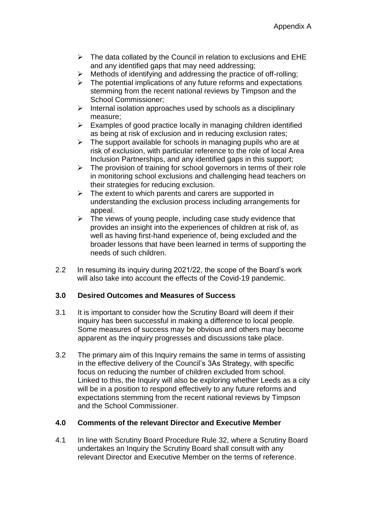- $\triangleright$  The data collated by the Council in relation to exclusions and EHE and any identified gaps that may need addressing;
- $\triangleright$  Methods of identifying and addressing the practice of off-rolling:
- $\triangleright$  The potential implications of any future reforms and expectations stemming from the recent national reviews by Timpson and the School Commissioner;
- $\triangleright$  Internal isolation approaches used by schools as a disciplinary measure;
- $\triangleright$  Examples of good practice locally in managing children identified as being at risk of exclusion and in reducing exclusion rates;
- $\triangleright$  The support available for schools in managing pupils who are at risk of exclusion, with particular reference to the role of local Area Inclusion Partnerships, and any identified gaps in this support;
- $\triangleright$  The provision of training for school governors in terms of their role in monitoring school exclusions and challenging head teachers on their strategies for reducing exclusion.
- $\triangleright$  The extent to which parents and carers are supported in understanding the exclusion process including arrangements for appeal.
- $\triangleright$  The views of young people, including case study evidence that provides an insight into the experiences of children at risk of, as well as having first-hand experience of, being excluded and the broader lessons that have been learned in terms of supporting the needs of such children.
- 2.2 In resuming its inquiry during 2021/22, the scope of the Board's work will also take into account the effects of the Covid-19 pandemic.

## **3.0 Desired Outcomes and Measures of Success**

- 3.1 It is important to consider how the Scrutiny Board will deem if their inquiry has been successful in making a difference to local people. Some measures of success may be obvious and others may become apparent as the inquiry progresses and discussions take place.
- 3.2 The primary aim of this Inquiry remains the same in terms of assisting in the effective delivery of the Council's 3As Strategy, with specific focus on reducing the number of children excluded from school. Linked to this, the Inquiry will also be exploring whether Leeds as a city will be in a position to respond effectively to any future reforms and expectations stemming from the recent national reviews by Timpson and the School Commissioner.

## **4.0 Comments of the relevant Director and Executive Member**

4.1 In line with Scrutiny Board Procedure Rule 32, where a Scrutiny Board undertakes an Inquiry the Scrutiny Board shall consult with any relevant Director and Executive Member on the terms of reference.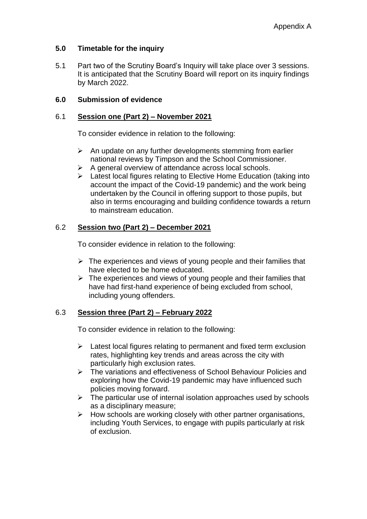### **5.0 Timetable for the inquiry**

5.1 Part two of the Scrutiny Board's Inquiry will take place over 3 sessions. It is anticipated that the Scrutiny Board will report on its inquiry findings by March 2022.

### **6.0 Submission of evidence**

#### 6.1 **Session one (Part 2) – November 2021**

To consider evidence in relation to the following:

- $\triangleright$  An update on any further developments stemming from earlier national reviews by Timpson and the School Commissioner.
- $\triangleright$  A general overview of attendance across local schools.
- $\triangleright$  Latest local figures relating to Elective Home Education (taking into account the impact of the Covid-19 pandemic) and the work being undertaken by the Council in offering support to those pupils, but also in terms encouraging and building confidence towards a return to mainstream education.

### 6.2 **Session two (Part 2) – December 2021**

To consider evidence in relation to the following:

- $\triangleright$  The experiences and views of young people and their families that have elected to be home educated.
- $\triangleright$  The experiences and views of young people and their families that have had first-hand experience of being excluded from school, including young offenders.

## 6.3 **Session three (Part 2) – February 2022**

To consider evidence in relation to the following:

- $\triangleright$  Latest local figures relating to permanent and fixed term exclusion rates, highlighting key trends and areas across the city with particularly high exclusion rates.
- The variations and effectiveness of School Behaviour Policies and exploring how the Covid-19 pandemic may have influenced such policies moving forward.
- $\triangleright$  The particular use of internal isolation approaches used by schools as a disciplinary measure;
- $\triangleright$  How schools are working closely with other partner organisations, including Youth Services, to engage with pupils particularly at risk of exclusion.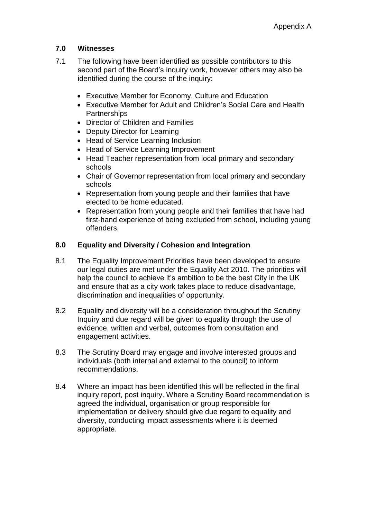## **7.0 Witnesses**

- 7.1 The following have been identified as possible contributors to this second part of the Board's inquiry work, however others may also be identified during the course of the inquiry:
	- Executive Member for Economy, Culture and Education
	- Executive Member for Adult and Children's Social Care and Health **Partnerships**
	- Director of Children and Families
	- Deputy Director for Learning
	- Head of Service Learning Inclusion
	- Head of Service Learning Improvement
	- Head Teacher representation from local primary and secondary schools
	- Chair of Governor representation from local primary and secondary schools
	- Representation from young people and their families that have elected to be home educated.
	- Representation from young people and their families that have had first-hand experience of being excluded from school, including young offenders.

# **8.0 Equality and Diversity / Cohesion and Integration**

- 8.1 The Equality Improvement Priorities have been developed to ensure our legal duties are met under the Equality Act 2010. The priorities will help the council to achieve it's ambition to be the best City in the UK and ensure that as a city work takes place to reduce disadvantage, discrimination and inequalities of opportunity.
- 8.2 Equality and diversity will be a consideration throughout the Scrutiny Inquiry and due regard will be given to equality through the use of evidence, written and verbal, outcomes from consultation and engagement activities.
- 8.3 The Scrutiny Board may engage and involve interested groups and individuals (both internal and external to the council) to inform recommendations.
- 8.4 Where an impact has been identified this will be reflected in the final inquiry report, post inquiry. Where a Scrutiny Board recommendation is agreed the individual, organisation or group responsible for implementation or delivery should give due regard to equality and diversity, conducting impact assessments where it is deemed appropriate.